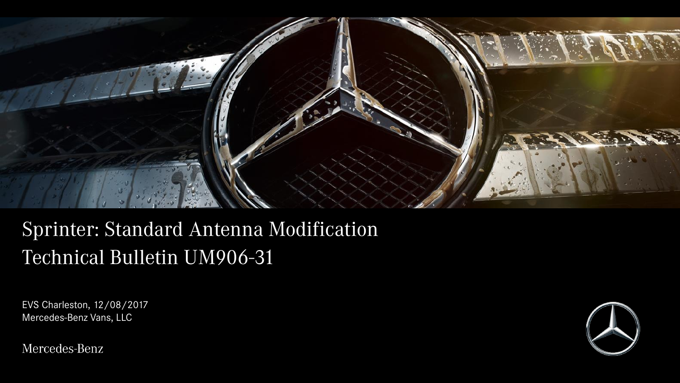

# Sprinter: Standard Antenna Modification Technical Bulletin UM906-31

EVS Charleston, 12/08/2017 Mercedes-Benz Vans, LLC

A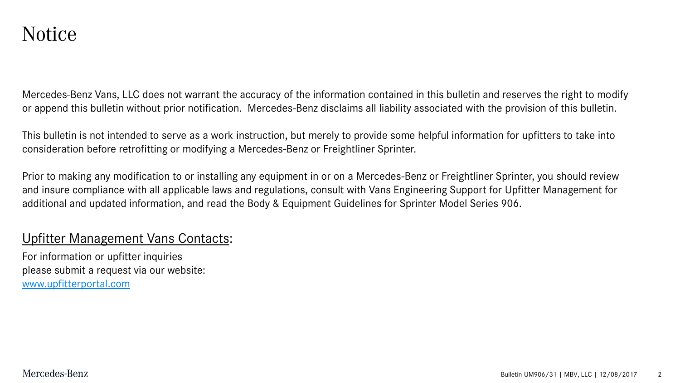Mercedes-Benz Vans, LLC does not warrant the accuracy of the information contained in this bulletin and reserves the right to modify or append this bulletin without prior notification. Mercedes-Benz disclaims all liability associated with the provision of this bulletin.

This bulletin is not intended to serve as a work instruction, but merely to provide some helpful information for upfitters to take into consideration before retrofitting or modifying a Mercedes-Benz or Freightliner Sprinter.

Prior to making any modification to or installing any equipment in or on a Mercedes-Benz or Freightliner Sprinter, you should review and insure compliance with all applicable laws and regulations, consult with Vans Engineering Support for Upfitter Management for additional and updated information, and read the Body & Equipment Guidelines for Sprinter Model Series 906.

#### Upfitter Management Vans Contacts:

For information or upfitter inquiries please submit a request via our website: [www.upfitterportal.com](http://www.upfitterportalcom/)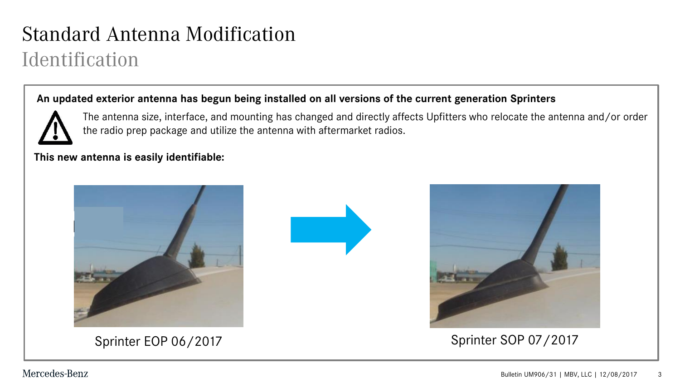### Standard Antenna Modification Identification

#### **An updated exterior antenna has begun being installed on all versions of the current generation Sprinters**



The antenna size, interface, and mounting has changed and directly affects Upfitters who relocate the antenna and/or order the radio prep package and utilize the antenna with aftermarket radios.

#### **This new antenna is easily identifiable:**







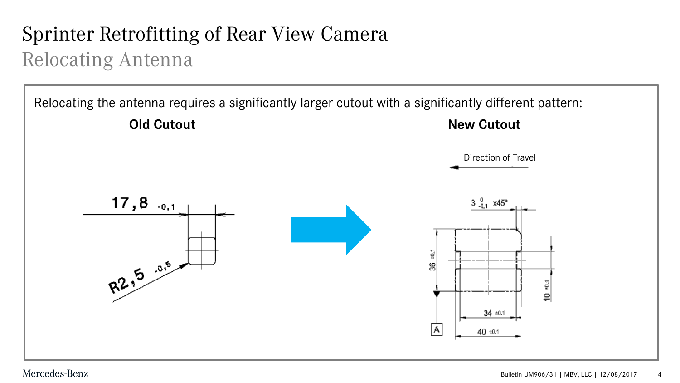## Sprinter Retrofitting of Rear View Camera Relocating Antenna

Relocating the antenna requires a significantly larger cutout with a significantly different pattern: **Old Cutout New Cutout New Cutout** Direction of Travel  $17,8$   $_{0,1}$  $3\frac{0}{-0.1}$  x45°  $_{\pm 0.1}$ R2.5 -0.5 36  $10*01$  $34 \pm 0.1$  $|A|$ 40 ±0.1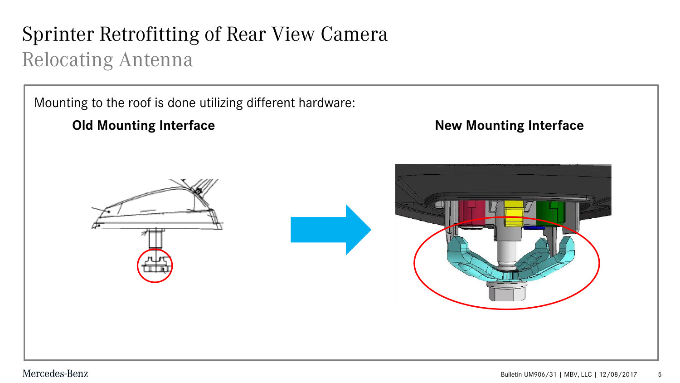## Sprinter Retrofitting of Rear View Camera Relocating Antenna

Mounting to the roof is done utilizing different hardware:

**Old Mounting Interface and South American Service Service Service Service Service Service Service Service Service Service Service Service Service Service Service Service Service Service Service Service Service Service Ser** 

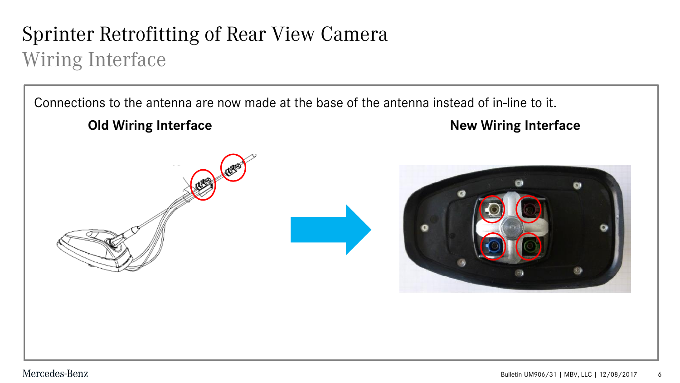### Sprinter Retrofitting of Rear View Camera Wiring Interface

Connections to the antenna are now made at the base of the antenna instead of in-line to it.



#### **Old Wiring Interface <b>New Wiring Interface**

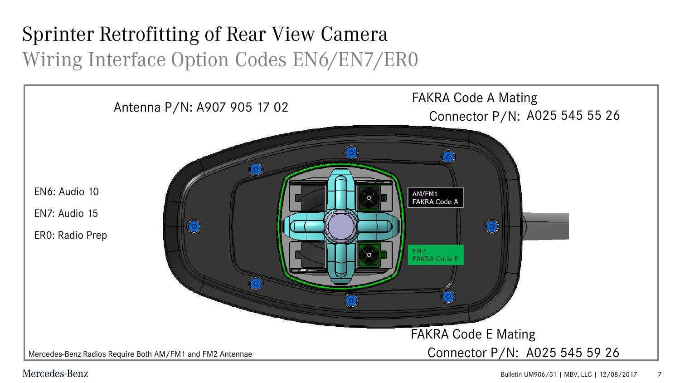## Sprinter Retrofitting of Rear View Camera Wiring Interface Option Codes EN6/EN7/ER0